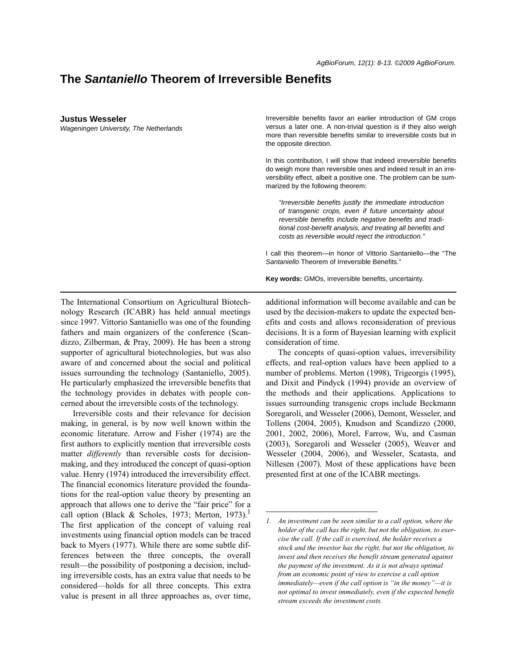# **The** *Santaniello* **Theorem of Irreversible Benefits**

#### **Justus Wesseler**

*Wageningen University, The Netherlands*

Irreversible benefits favor an earlier introduction of GM crops versus a later one. A non-trivial question is if they also weigh more than reversible benefits similar to irreversible costs but in the opposite direction.

In this contribution, I will show that indeed irreversible benefits do weigh more than reversible ones and indeed result in an irreversibility effect, albeit a positive one. The problem can be summarized by the following theorem:

*"Irreversible benefits justify the immediate introduction of transgenic crops, even if future uncertainty about reversible benefits include negative benefits and traditional cost-benefit analysis, and treating all benefits and costs as reversible would reject the introduction."*

I call this theorem—in honor of Vittorio Santaniello—the "The *Santaniello* Theorem of Irreversible Benefits."

**Key words:** GMOs, irreversible benefits, uncertainty.

The International Consortium on Agricultural Biotechnology Research (ICABR) has held annual meetings since 1997. Vittorio Santaniello was one of the founding fathers and main organizers of the conference (Scandizzo, Zilberman, & Pray, 2009). He has been a strong supporter of agricultural biotechnologies, but was also aware of and concerned about the social and political issues surrounding the technology (Santaniello, 2005). He particularly emphasized the irreversible benefits that the technology provides in debates with people concerned about the irreversible costs of the technology.

Irreversible costs and their relevance for decision making, in general, is by now well known within the economic literature. Arrow and Fisher (1974) are the first authors to explicitly mention that irreversible costs matter *differently* than reversible costs for decisionmaking, and they introduced the concept of quasi-option value. Henry (1974) introduced the irreversibility effect. The financial economics literature provided the foundations for the real-option value theory by presenting an approach that allows one to derive the "fair price" for a call option (Black & Scholes, 1973; Merton, 1973).<sup>1</sup> The first application of the concept of valuing real investments using financial option models can be traced back to Myers (1977). While there are some subtle differences between the three concepts, the overall result—the possibility of postponing a decision, including irreversible costs, has an extra value that needs to be considered—holds for all three concepts. This extra value is present in all three approaches as, over time, additional information will become available and can be used by the decision-makers to update the expected benefits and costs and allows reconsideration of previous decisions. It is a form of Bayesian learning with explicit consideration of time.

The concepts of quasi-option values, irreversibility effects, and real-option values have been applied to a number of problems. Merton (1998), Trigeorgis (1995), and Dixit and Pindyck (1994) provide an overview of the methods and their applications. Applications to issues surrounding transgenic crops include Beckmann Soregaroli, and Wesseler (2006), Demont, Wesseler, and Tollens (2004, 2005), Knudson and Scandizzo (2000, 2001, 2002, 2006), Morel, Farrow, Wu, and Casman (2003), Soregaroli and Wesseler (2005), Weaver and Wesseler (2004, 2006), and Wesseler, Scatasta, and Nillesen (2007). Most of these applications have been presented first at one of the ICABR meetings.

*<sup>1.</sup> An investment can be seen similar to a call option, where the holder of the call has the right, but not the obligation, to exercise the call. If the call is exercised, the holder receives a stock and the investor has the right, but not the obligation, to invest and then receives the benefit stream generated against the payment of the investment. As it is not always optimal from an economic point of view to exercise a call option immediately—even if the call option is "in the money"—it is not optimal to invest immediately, even if the expected benefit stream exceeds the investment costs.*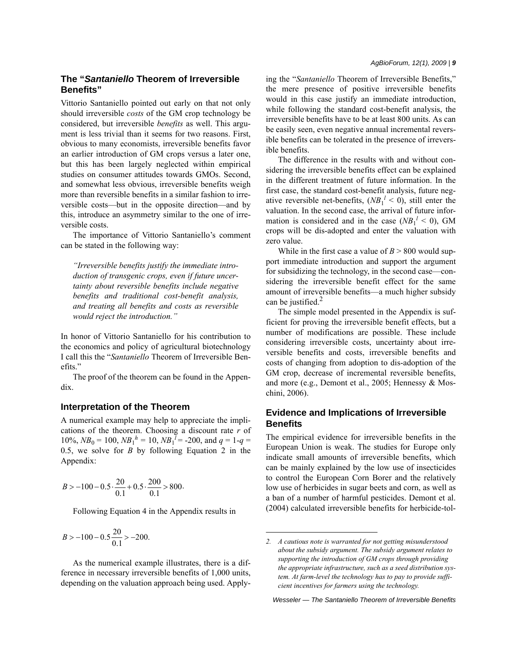Vittorio Santaniello pointed out early on that not only should irreversible *costs* of the GM crop technology be considered, but irreversible *benefits* as well. This argument is less trivial than it seems for two reasons. First, obvious to many economists, irreversible benefits favor an earlier introduction of GM crops versus a later one, but this has been largely neglected within empirical studies on consumer attitudes towards GMOs. Second, and somewhat less obvious, irreversible benefits weigh more than reversible benefits in a similar fashion to irreversible costs—but in the opposite direction—and by this, introduce an asymmetry similar to the one of irreversible costs.

The importance of Vittorio Santaniello's comment can be stated in the following way:

*"Irreversible benefits justify the immediate introduction of transgenic crops, even if future uncertainty about reversible benefits include negative benefits and traditional cost-benefit analysis, and treating all benefits and costs as reversible would reject the introduction."*

In honor of Vittorio Santaniello for his contribution to the economics and policy of agricultural biotechnology I call this the "*Santaniello* Theorem of Irreversible Benefits."

The proof of the theorem can be found in the Appendix.

### **Interpretation of the Theorem**

A numerical example may help to appreciate the implications of the theorem. Choosing a discount rate *r* of 10%,  $NB_0 = 100$ ,  $NB_1^h = 10$ ,  $NB_1^l = -200$ , and  $q = 1-q$ 0.5, we solve for *B* by following Equation 2 in the Appendix:

$$
B > -100 - 0.5 \cdot \frac{20}{0.1} + 0.5 \cdot \frac{200}{0.1} > 800.
$$

Following Equation 4 in the Appendix results in

$$
B > -100 - 0.5 \frac{20}{0.1} > -200.
$$

As the numerical example illustrates, there is a difference in necessary irreversible benefits of 1,000 units, depending on the valuation approach being used. Applying the "*Santaniello* Theorem of Irreversible Benefits," the mere presence of positive irreversible benefits would in this case justify an immediate introduction, while following the standard cost-benefit analysis, the irreversible benefits have to be at least 800 units. As can be easily seen, even negative annual incremental reversible benefits can be tolerated in the presence of irreversible benefits.

The difference in the results with and without considering the irreversible benefits effect can be explained in the different treatment of future information. In the first case, the standard cost-benefit analysis, future negative reversible net-benefits,  $(NB_1^{\{1\}} < 0)$ , still enter the valuation. In the second case, the arrival of future information is considered and in the case  $(NB_1^{\ell} < 0)$ , GM crops will be dis-adopted and enter the valuation with zero value.

While in the first case a value of  $B > 800$  would support immediate introduction and support the argument for subsidizing the technology, in the second case—considering the irreversible benefit effect for the same amount of irreversible benefits—a much higher subsidy can be justified. $2$ 

The simple model presented in the Appendix is sufficient for proving the irreversible benefit effects, but a number of modifications are possible. These include considering irreversible costs, uncertainty about irreversible benefits and costs, irreversible benefits and costs of changing from adoption to dis-adoption of the GM crop, decrease of incremental reversible benefits, and more (e.g., Demont et al., 2005; Hennessy & Moschini, 2006).

## **Evidence and Implications of Irreversible Benefits**

The empirical evidence for irreversible benefits in the European Union is weak. The studies for Europe only indicate small amounts of irreversible benefits, which can be mainly explained by the low use of insecticides to control the European Corn Borer and the relatively low use of herbicides in sugar beets and corn, as well as a ban of a number of harmful pesticides. Demont et al. (2004) calculated irreversible benefits for herbicide-tol-

*B*  $A$  cautious note is warranted for not getting misunderstood *about the subsidy argument. The subsidy argument relates to supporting the introduction of GM crops through providing the appropriate infrastructure, such as a seed distribution system. At farm-level the technology has to pay to provide sufficient incentives for farmers using the technology.*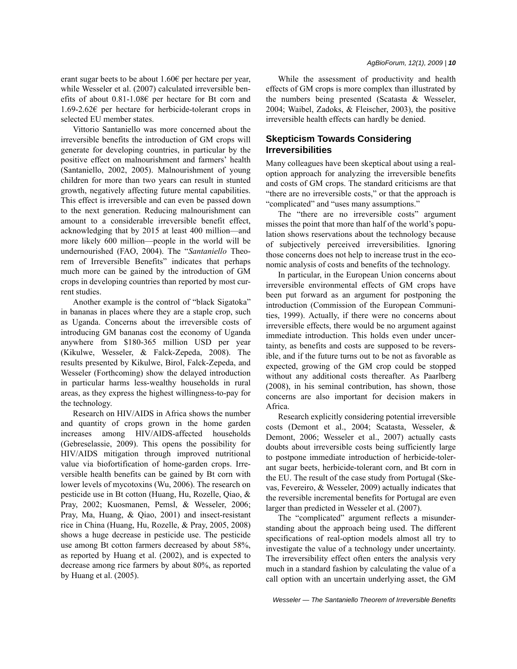1.69-2.62€ per hectare for herbicide-tolerant crops in selected EU member states.

Vittorio Santaniello was more concerned about the irreversible benefits the introduction of GM crops will generate for developing countries, in particular by the positive effect on malnourishment and farmers' health (Santaniello, 2002, 2005). Malnourishment of young children for more than two years can result in stunted growth, negatively affecting future mental capabilities. This effect is irreversible and can even be passed down to the next generation. Reducing malnourishment can amount to a considerable irreversible benefit effect, acknowledging that by 2015 at least 400 million—and more likely 600 million—people in the world will be undernourished (FAO, 2004). The "*Santaniello* Theorem of Irreversible Benefits" indicates that perhaps much more can be gained by the introduction of GM crops in developing countries than reported by most current studies.

Another example is the control of "black Sigatoka" in bananas in places where they are a staple crop, such as Uganda. Concerns about the irreversible costs of introducing GM bananas cost the economy of Uganda anywhere from \$180-365 million USD per year (Kikulwe, Wesseler, & Falck-Zepeda, 2008). The results presented by Kikulwe, Birol, Falck-Zepeda, and Wesseler (Forthcoming) show the delayed introduction in particular harms less-wealthy households in rural areas, as they express the highest willingness-to-pay for the technology.

Research on HIV/AIDS in Africa shows the number and quantity of crops grown in the home garden increases among HIV/AIDS-affected households (Gebreselassie, 2009). This opens the possibility for HIV/AIDS mitigation through improved nutritional value via biofortification of home-garden crops. Irreversible health benefits can be gained by Bt corn with lower levels of mycotoxins (Wu, 2006). The research on pesticide use in Bt cotton (Huang, Hu, Rozelle, Qiao, & Pray, 2002; Kuosmanen, Pemsl, & Wesseler, 2006; Pray, Ma, Huang, & Qiao, 2001) and insect-resistant rice in China (Huang, Hu, Rozelle, & Pray, 2005, 2008) shows a huge decrease in pesticide use. The pesticide use among Bt cotton farmers decreased by about 58%, as reported by Huang et al. (2002), and is expected to decrease among rice farmers by about 80%, as reported by Huang et al. (2005).

While the assessment of productivity and health effects of GM crops is more complex than illustrated by the numbers being presented (Scatasta & Wesseler, 2004; Waibel, Zadoks, & Fleischer, 2003), the positive irreversible health effects can hardly be denied.

# **Skepticism Towards Considering Irreversibilities**

Many colleagues have been skeptical about using a realoption approach for analyzing the irreversible benefits and costs of GM crops. The standard criticisms are that "there are no irreversible costs," or that the approach is "complicated" and "uses many assumptions."

The "there are no irreversible costs" argument misses the point that more than half of the world's population shows reservations about the technology because of subjectively perceived irreversibilities. Ignoring those concerns does not help to increase trust in the economic analysis of costs and benefits of the technology.

In particular, in the European Union concerns about irreversible environmental effects of GM crops have been put forward as an argument for postponing the introduction (Commission of the European Communities, 1999). Actually, if there were no concerns about irreversible effects, there would be no argument against immediate introduction. This holds even under uncertainty, as benefits and costs are supposed to be reversible, and if the future turns out to be not as favorable as expected, growing of the GM crop could be stopped without any additional costs thereafter. As Paarlberg (2008), in his seminal contribution, has shown, those concerns are also important for decision makers in Africa.

Research explicitly considering potential irreversible costs (Demont et al., 2004; Scatasta, Wesseler, & Demont, 2006; Wesseler et al., 2007) actually casts doubts about irreversible costs being sufficiently large to postpone immediate introduction of herbicide-tolerant sugar beets, herbicide-tolerant corn, and Bt corn in the EU. The result of the case study from Portugal (Skevas, Fevereiro, & Wesseler, 2009) actually indicates that the reversible incremental benefits for Portugal are even larger than predicted in Wesseler et al. (2007).

The "complicated" argument reflects a misunderstanding about the approach being used. The different specifications of real-option models almost all try to investigate the value of a technology under uncertainty. The irreversibility effect often enters the analysis very much in a standard fashion by calculating the value of a call option with an uncertain underlying asset, the GM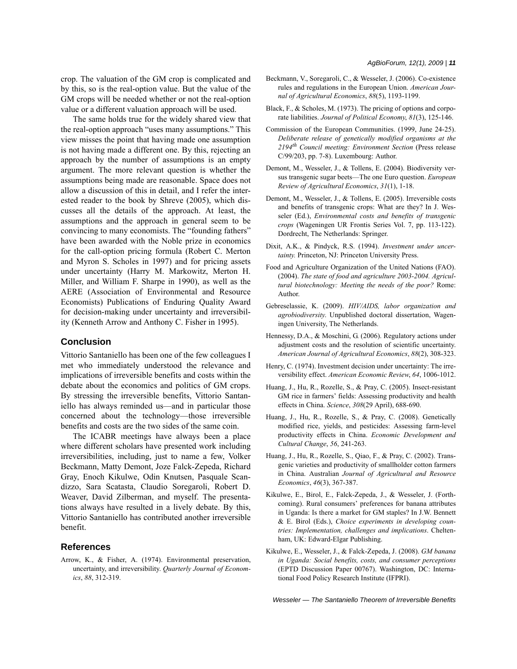crop. The valuation of the GM crop is complicated and by this, so is the real-option value. But the value of the GM crops will be needed whether or not the real-option value or a different valuation approach will be used.

The same holds true for the widely shared view that the real-option approach "uses many assumptions." This view misses the point that having made one assumption is not having made a different one. By this, rejecting an approach by the number of assumptions is an empty argument. The more relevant question is whether the assumptions being made are reasonable. Space does not allow a discussion of this in detail, and I refer the interested reader to the book by Shreve (2005), which discusses all the details of the approach. At least, the assumptions and the approach in general seem to be convincing to many economists. The "founding fathers" have been awarded with the Noble prize in economics for the call-option pricing formula (Robert C. Merton and Myron S. Scholes in 1997) and for pricing assets under uncertainty (Harry M. Markowitz, Merton H. Miller, and William F. Sharpe in 1990), as well as the AERE (Association of Environmental and Resource Economists) Publications of Enduring Quality Award for decision-making under uncertainty and irreversibility (Kenneth Arrow and Anthony C. Fisher in 1995).

#### **Conclusion**

Vittorio Santaniello has been one of the few colleagues I met who immediately understood the relevance and implications of irreversible benefits and costs within the debate about the economics and politics of GM crops. By stressing the irreversible benefits, Vittorio Santaniello has always reminded us—and in particular those concerned about the technology—those irreversible benefits and costs are the two sides of the same coin.

The ICABR meetings have always been a place where different scholars have presented work including irreversibilities, including, just to name a few, Volker Beckmann, Matty Demont, Joze Falck-Zepeda, Richard Gray, Enoch Kikulwe, Odin Knutsen, Pasquale Scandizzo, Sara Scatasta, Claudio Soregaroli, Robert D. Weaver, David Zilberman, and myself. The presentations always have resulted in a lively debate. By this, Vittorio Santaniello has contributed another irreversible benefit.

#### **References**

Arrow, K., & Fisher, A. (1974). Environmental preservation, uncertainty, and irreversibility. *Quarterly Journal of Economics*, *88*, 312-319.

- Beckmann, V., Soregaroli, C., & Wesseler, J. (2006). Co-existence rules and regulations in the European Union. *American Journal of Agricultural Economics*, *88*(5), 1193-1199.
- Black, F., & Scholes, M. (1973). The pricing of options and corporate liabilities. *Journal of Political Economy*, *81*(3), 125-146.
- Commission of the European Communities. (1999, June 24-25). *Deliberate release of genetically modified organisms at the 2194th Council meeting: Environment Section* (Press release C/99/203, pp. 7-8). Luxembourg: Author.
- Demont, M., Wesseler, J., & Tollens, E. (2004). Biodiversity versus transgenic sugar beets—The one Euro question. *European Review of Agricultural Economics*, *31*(1), 1-18.
- Demont, M., Wesseler, J., & Tollens, E. (2005). Irreversible costs and benefits of transgenic crops: What are they? In J. Wesseler (Ed.), *Environmental costs and benefits of transgenic crops* (Wageningen UR Frontis Series Vol. 7, pp. 113-122). Dordrecht, The Netherlands: Springer.
- Dixit, A.K., & Pindyck, R.S. (1994). *Investment under uncertainty.* Princeton, NJ: Princeton University Press.
- Food and Agriculture Organization of the United Nations (FAO). (2004). *The state of food and agriculture 2003-2004. Agricultural biotechnology: Meeting the needs of the poor?* Rome: Author.
- Gebreselassie, K. (2009). *HIV/AIDS, labor organization and agrobiodiversity*. Unpublished doctoral dissertation, Wageningen University, The Netherlands.
- Hennessy, D.A., & Moschini, G. (2006). Regulatory actions under adjustment costs and the resolution of scientific uncertainty. *American Journal of Agricultural Economics*, *88*(2), 308-323.
- Henry, C. (1974). Investment decision under uncertainty: The irreversibility effect. *American Economic Review*, *64*, 1006-1012.
- Huang, J., Hu, R., Rozelle, S., & Pray, C. (2005). Insect-resistant GM rice in farmers' fields: Assessing productivity and health effects in China. *Science*, *308*(29 April), 688-690.
- Huang, J., Hu, R., Rozelle, S., & Pray, C. (2008). Genetically modified rice, yields, and pesticides: Assessing farm-level productivity effects in China. *Economic Development and Cultural Change*, *56*, 241-263.
- Huang, J., Hu, R., Rozelle, S., Qiao, F., & Pray, C. (2002). Transgenic varieties and productivity of smallholder cotton farmers in China. Australian *Journal of Agricultural and Resource Economics*, *46*(3), 367-387.
- Kikulwe, E., Birol, E., Falck-Zepeda, J., & Wesseler, J. (Forthcoming). Rural consumers' preferences for banana attributes in Uganda: Is there a market for GM staples? In J.W. Bennett & E. Birol (Eds.), *Choice experiments in developing countries: Implementation, challenges and implications*. Cheltenham, UK: Edward-Elgar Publishing.
- Kikulwe, E., Wesseler, J., & Falck-Zepeda, J. (2008). *GM banana in Uganda: Social benefits, costs, and consumer perceptions* (EPTD Discussion Paper 00767). Washington, DC: International Food Policy Research Institute (IFPRI).

*Wesseler — The Santaniello Theorem of Irreversible Benefits*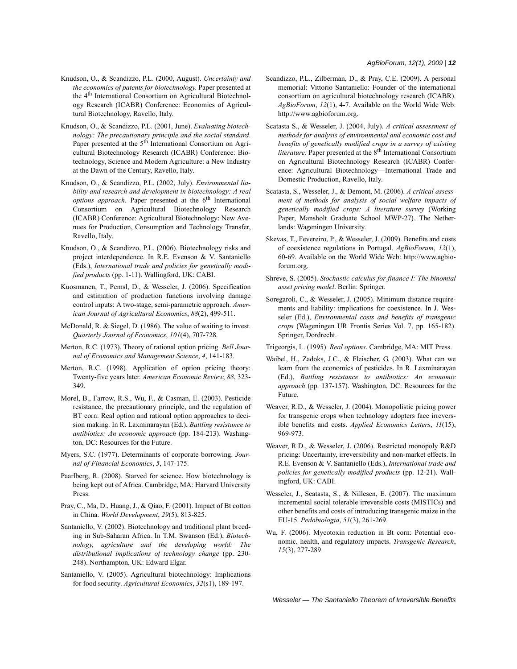- Knudson, O., & Scandizzo, P.L. (2000, August). *Uncertainty and the economics of patents for biotechnology*. Paper presented at the 4<sup>th</sup> International Consortium on Agricultural Biotechnology Research (ICABR) Conference: Economics of Agricultural Biotechnology, Ravello, Italy.
- Knudson, O., & Scandizzo, P.L. (2001, June). *Evaluating biotechnology: The precautionary principle and the social standard*. Paper presented at the 5<sup>th</sup> International Consortium on Agricultural Biotechnology Research (ICABR) Conference: Biotechnology, Science and Modern Agriculture: a New Industry at the Dawn of the Century, Ravello, Italy.
- Knudson, O., & Scandizzo, P.L. (2002, July). *Environmental liability and research and development in biotechnology: A real options approach*. Paper presented at the 6<sup>th</sup> International Consortium on Agricultural Biotechnology Research (ICABR) Conference: Agricultural Biotechnology: New Avenues for Production, Consumption and Technology Transfer, Ravello, Italy.
- Knudson, O., & Scandizzo, P.L. (2006). Biotechnology risks and project interdependence. In R.E. Evenson & V. Santaniello (Eds.), *International trade and policies for genetically modified products* (pp. 1-11). Wallingford, UK: CABI.
- Kuosmanen, T., Pemsl, D., & Wesseler, J. (2006). Specification and estimation of production functions involving damage control inputs: A two-stage, semi-parametric approach. *American Journal of Agricultural Economics*, *88*(2), 499-511.
- McDonald, R. & Siegel, D. (1986). The value of waiting to invest. *Quarterly Journal of Economics*, *101*(4), 707-728.
- Merton, R.C. (1973). Theory of rational option pricing. *Bell Journal of Economics and Management Science*, *4*, 141-183.
- Merton, R.C. (1998). Application of option pricing theory: Twenty-five years later. *American Economic Review*, *88*, 323- 349.
- Morel, B., Farrow, R.S., Wu, F., & Casman, E. (2003). Pesticide resistance, the precautionary principle, and the regulation of BT corn: Real option and rational option approaches to decision making. In R. Laxminarayan (Ed.), *Battling resistance to antibiotics: An economic approach* (pp. 184-213). Washington, DC: Resources for the Future.
- Myers, S.C. (1977). Determinants of corporate borrowing. *Journal of Financial Economics*, *5*, 147-175.
- Paarlberg, R. (2008). Starved for science. How biotechnology is being kept out of Africa. Cambridge, MA: Harvard University Press.
- Pray, C., Ma, D., Huang, J., & Qiao, F. (2001). Impact of Bt cotton in China. *World Development*, *29*(5), 813-825.
- Santaniello, V. (2002). Biotechnology and traditional plant breeding in Sub-Saharan Africa. In T.M. Swanson (Ed.), *Biotechnology, agriculture and the developing world: The distributional implications of technology change* (pp. 230- 248). Northampton, UK: Edward Elgar.
- Santaniello, V. (2005). Agricultural biotechnology: Implications for food security. *Agricultural Economics*, *32*(s1), 189-197.
- Scandizzo, P.L., Zilberman, D., & Pray, C.E. (2009). A personal memorial: Vittorio Santaniello: Founder of the international consortium on agricultural biotechnology research (ICABR). *AgBioForum*, *12*(1), 4-7. Available on the World Wide Web: http://www.agbioforum.org.
- Scatasta S., & Wesseler, J. (2004, July). *A critical assessment of methods for analysis of environmental and economic cost and benefits of genetically modified crops in a survey of existing literature*. Paper presented at the 8<sup>th</sup> International Consortium on Agricultural Biotechnology Research (ICABR) Conference: Agricultural Biotechnology—International Trade and Domestic Production, Ravello, Italy.
- Scatasta, S., Wesseler, J., & Demont, M. (2006). *A critical assessment of methods for analysis of social welfare impacts of genetically modified crops: A literature survey* (Working Paper, Mansholt Graduate School MWP-27). The Netherlands: Wageningen University.
- Skevas, T., Fevereiro, P., & Wesseler, J. (2009). Benefits and costs of coexistence regulations in Portugal. *AgBioForum*, *12*(1), 60-69. Available on the World Wide Web: http://www.agbioforum.org.
- Shreve, S. (2005). *Stochastic calculus for finance I: The binomial asset pricing model*. Berlin: Springer.
- Soregaroli, C., & Wesseler, J. (2005). Minimum distance requirements and liability: implications for coexistence. In J. Wesseler (Ed.), *Environmental costs and benefits of transgenic crops* (Wageningen UR Frontis Series Vol. 7, pp. 165-182). Springer, Dordrecht.
- Trigeorgis, L. (1995). *Real options*. Cambridge, MA: MIT Press.
- Waibel, H., Zadoks, J.C., & Fleischer, G. (2003). What can we learn from the economics of pesticides. In R. Laxminarayan (Ed.), *Battling resistance to antibiotics: An economic approach* (pp. 137-157). Washington, DC: Resources for the Future.
- Weaver, R.D., & Wesseler, J. (2004). Monopolistic pricing power for transgenic crops when technology adopters face irreversible benefits and costs. *Applied Economics Letters*, *11*(15), 969-973.
- Weaver, R.D., & Wesseler, J. (2006). Restricted monopoly R&D pricing: Uncertainty, irreversibility and non-market effects. In R.E. Evenson & V. Santaniello (Eds.), *International trade and policies for genetically modified products* (pp. 12-21). Wallingford, UK: CABI.
- Wesseler, J., Scatasta, S., & Nillesen, E. (2007). The maximum incremental social tolerable irreversible costs (MISTICs) and other benefits and costs of introducing transgenic maize in the EU-15. *Pedobiologia*, *51*(3), 261-269.
- Wu, F. (2006). Mycotoxin reduction in Bt corn: Potential economic, health, and regulatory impacts. *Transgenic Research*, *15*(3), 277-289.

*Wesseler — The Santaniello Theorem of Irreversible Benefits*